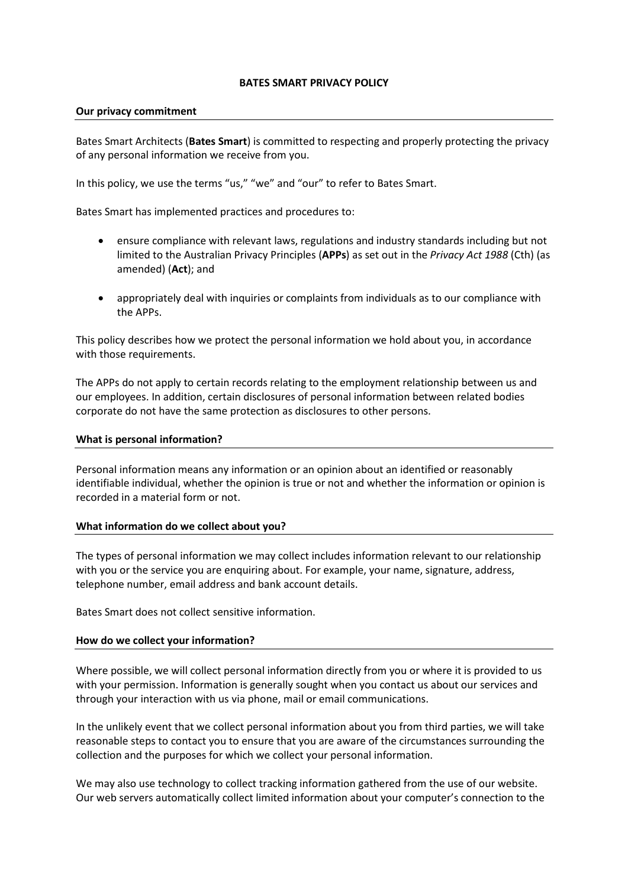#### **BATES SMART PRIVACY POLICY**

#### **Our privacy commitment**

Bates Smart Architects (**Bates Smart**) is committed to respecting and properly protecting the privacy of any personal information we receive from you.

In this policy, we use the terms "us," "we" and "our" to refer to Bates Smart.

Bates Smart has implemented practices and procedures to:

- ensure compliance with relevant laws, regulations and industry standards including but not limited to the Australian Privacy Principles (**APPs**) as set out in the *Privacy Act 1988* (Cth) (as amended) (**Act**); and
- appropriately deal with inquiries or complaints from individuals as to our compliance with the APPs.

This policy describes how we protect the personal information we hold about you, in accordance with those requirements.

The APPs do not apply to certain records relating to the employment relationship between us and our employees. In addition, certain disclosures of personal information between related bodies corporate do not have the same protection as disclosures to other persons.

# **What is personal information?**

Personal information means any information or an opinion about an identified or reasonably identifiable individual, whether the opinion is true or not and whether the information or opinion is recorded in a material form or not.

# **What information do we collect about you?**

The types of personal information we may collect includes information relevant to our relationship with you or the service you are enquiring about. For example, your name, signature, address, telephone number, email address and bank account details.

Bates Smart does not collect sensitive information.

# **How do we collect your information?**

Where possible, we will collect personal information directly from you or where it is provided to us with your permission. Information is generally sought when you contact us about our services and through your interaction with us via phone, mail or email communications.

In the unlikely event that we collect personal information about you from third parties, we will take reasonable steps to contact you to ensure that you are aware of the circumstances surrounding the collection and the purposes for which we collect your personal information.

We may also use technology to collect tracking information gathered from the use of our website. Our web servers automatically collect limited information about your computer's connection to the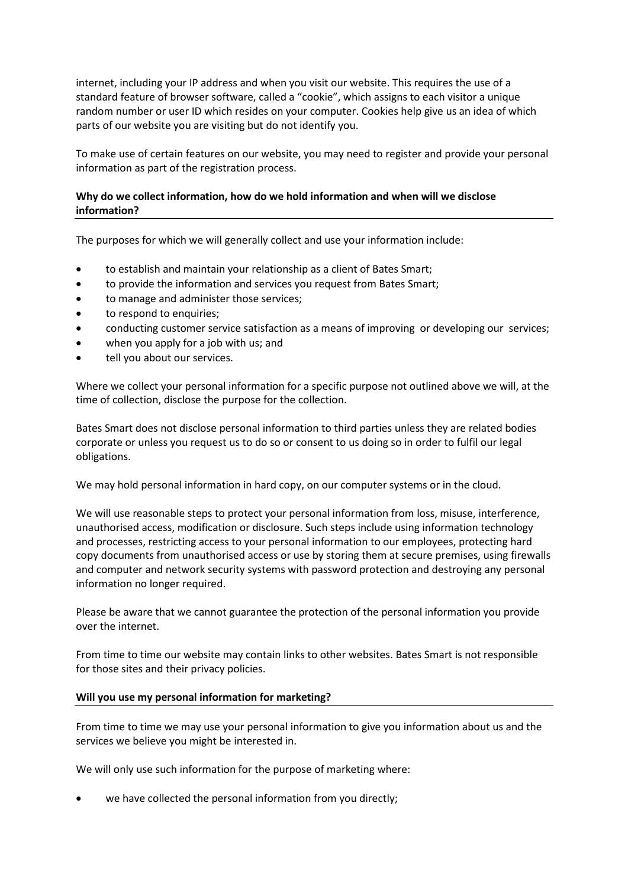internet, including your IP address and when you visit our website. This requires the use of a standard feature of browser software, called a "cookie", which assigns to each visitor a unique random number or user ID which resides on your computer. Cookies help give us an idea of which parts of our website you are visiting but do not identify you.

To make use of certain features on our website, you may need to register and provide your personal information as part of the registration process.

# **Why do we collect information, how do we hold information and when will we disclose information?**

The purposes for which we will generally collect and use your information include:

- to establish and maintain your relationship as a client of Bates Smart;
- to provide the information and services you request from Bates Smart;
- to manage and administer those services;
- to respond to enquiries;
- conducting customer service satisfaction as a means of improving or developing our services;
- when you apply for a job with us; and
- tell you about our services.

Where we collect your personal information for a specific purpose not outlined above we will, at the time of collection, disclose the purpose for the collection.

Bates Smart does not disclose personal information to third parties unless they are related bodies corporate or unless you request us to do so or consent to us doing so in order to fulfil our legal obligations.

We may hold personal information in hard copy, on our computer systems or in the cloud.

We will use reasonable steps to protect your personal information from loss, misuse, interference, unauthorised access, modification or disclosure. Such steps include using information technology and processes, restricting access to your personal information to our employees, protecting hard copy documents from unauthorised access or use by storing them at secure premises, using firewalls and computer and network security systems with password protection and destroying any personal information no longer required.

Please be aware that we cannot guarantee the protection of the personal information you provide over the internet.

From time to time our website may contain links to other websites. Bates Smart is not responsible for those sites and their privacy policies.

# **Will you use my personal information for marketing?**

From time to time we may use your personal information to give you information about us and the services we believe you might be interested in.

We will only use such information for the purpose of marketing where:

we have collected the personal information from you directly;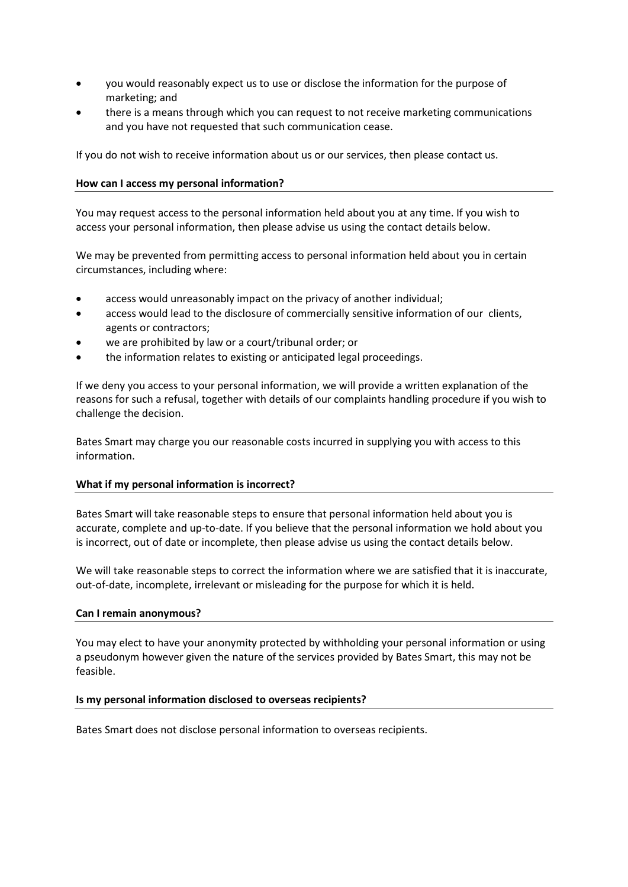- you would reasonably expect us to use or disclose the information for the purpose of marketing; and
- there is a means through which you can request to not receive marketing communications and you have not requested that such communication cease.

If you do not wish to receive information about us or our services, then please contact us.

# **How can I access my personal information?**

You may request access to the personal information held about you at any time. If you wish to access your personal information, then please advise us using the contact details below.

We may be prevented from permitting access to personal information held about you in certain circumstances, including where:

- access would unreasonably impact on the privacy of another individual;
- access would lead to the disclosure of commercially sensitive information of our clients, agents or contractors;
- we are prohibited by law or a court/tribunal order; or
- the information relates to existing or anticipated legal proceedings.

If we deny you access to your personal information, we will provide a written explanation of the reasons for such a refusal, together with details of our complaints handling procedure if you wish to challenge the decision.

Bates Smart may charge you our reasonable costs incurred in supplying you with access to this information.

# **What if my personal information is incorrect?**

Bates Smart will take reasonable steps to ensure that personal information held about you is accurate, complete and up-to-date. If you believe that the personal information we hold about you is incorrect, out of date or incomplete, then please advise us using the contact details below.

We will take reasonable steps to correct the information where we are satisfied that it is inaccurate, out-of-date, incomplete, irrelevant or misleading for the purpose for which it is held.

# **Can I remain anonymous?**

You may elect to have your anonymity protected by withholding your personal information or using a pseudonym however given the nature of the services provided by Bates Smart, this may not be feasible.

# **Is my personal information disclosed to overseas recipients?**

Bates Smart does not disclose personal information to overseas recipients.